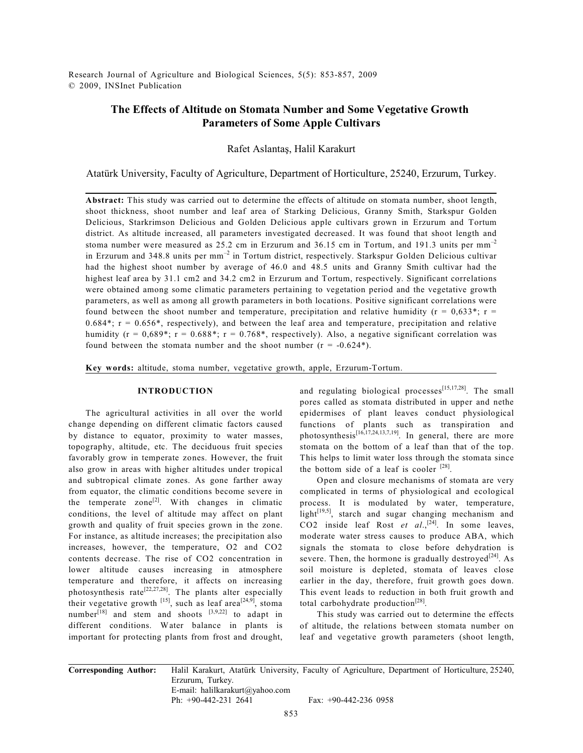Research Journal of Agriculture and Biological Sciences, 5(5): 853-857, 2009 © 2009, INSInet Publication

# **The Effects of Altitude on Stomata Number and Some Vegetative Growth Parameters of Some Apple Cultivars**

Rafet Aslantaş, Halil Karakurt

Atatürk University, Faculty of Agriculture, Department of Horticulture, 25240, Erzurum, Turkey.

**Abstract:** This study was carried out to determine the effects of altitude on stomata number, shoot length, shoot thickness, shoot number and leaf area of Starking Delicious, Granny Smith, Starkspur Golden Delicious, Starkrimson Delicious and Golden Delicious apple cultivars grown in Erzurum and Tortum district. As altitude increased, all parameters investigated decreased. It was found that shoot length and stoma number were measured as  $25.2$  cm in Erzurum and  $36.15$  cm in Tortum, and 191.3 units per mm<sup>-2</sup> in Erzurum and 348.8 units per  $mm^{-2}$  in Tortum district, respectively. Starkspur Golden Delicious cultivar had the highest shoot number by average of 46.0 and 48.5 units and Granny Smith cultivar had the highest leaf area by 31.1 cm2 and 34.2 cm2 in Erzurum and Tortum, respectively. Significant correlations were obtained among some climatic parameters pertaining to vegetation period and the vegetative growth parameters, as well as among all growth parameters in both locations. Positive significant correlations were found between the shoot number and temperature, precipitation and relative humidity ( $r = 0.633$ \*; r =  $0.684^*$ ; r =  $0.656^*$ , respectively), and between the leaf area and temperature, precipitation and relative humidity ( $r = 0.689^*$ ;  $r = 0.688^*$ ;  $r = 0.768^*$ , respectively). Also, a negative significant correlation was found between the stomata number and the shoot number  $(r = -0.624^*)$ .

**Key words:** altitude, stoma number, vegetative growth, apple, Erzurum-Tortum.

#### **INTRODUCTION**

The agricultural activities in all over the world change depending on different climatic factors caused by distance to equator, proximity to water masses, topography, altitude, etc. The deciduous fruit species favorably grow in temperate zones. However, the fruit also grow in areas with higher altitudes under tropical and subtropical climate zones. As gone farther away from equator, the climatic conditions become severe in the temperate zone<sup>[2]</sup>. With changes in climatic conditions, the level of altitude may affect on plant growth and quality of fruit species grown in the zone. For instance, as altitude increases; the precipitation also increases, however, the temperature, O2 and CO2 contents decrease. The rise of CO2 concentration in lower altitude causes increasing in atmosphere temperature and therefore, it affects on increasing photosynthesis rate<sup>[22,27,28]</sup>. The plants alter especially their vegetative growth  $^{[15]}$ , such as leaf area $^{[24,9]}$ , stoma number $^{[18]}$  and stem and shoots  $^{[3,9,22]}$  to adapt in different conditions. Water balance in plants is important for protecting plants from frost and drought,

and regulating biological processes $[15,17,28]$ . The small pores called as stomata distributed in upper and nethe epidermises of plant leaves conduct physiological functions of plants such as transpiration and photosynthesis<sup> $[16,17,24,13,7,19]$ </sup>. In general, there are more stomata on the bottom of a leaf than that of the top. This helps to limit water loss through the stomata since the bottom side of a leaf is cooler  $^{[28]}$ .

Open and closure mechanisms of stomata are very complicated in terms of physiological and ecological process. It is modulated by water, temperature,  $light^{[19,5]}$ , starch and sugar changing mechanism and  $CO2$  inside leaf Rost *et al.*<sup>[24]</sup>. In some leaves, moderate water stress causes to produce ABA, which signals the stomata to close before dehydration is severe. Then, the hormone is gradually destroyed<sup>[24]</sup>. As soil moisture is depleted, stomata of leaves close earlier in the day, therefore, fruit growth goes down. This event leads to reduction in both fruit growth and total carbohydrate production<sup>[28]</sup>.

This study was carried out to determine the effects of altitude, the relations between stomata number on leaf and vegetative growth parameters (shoot length,

**Corresponding Author:** Halil Karakurt, Atatürk University, Faculty of Agriculture, Department of Horticulture, 25240, Erzurum, Turkey. E-mail: halilkarakurt@yahoo.com<br>Ph: +90-442-231 2641

Fax: +90-442-236 0958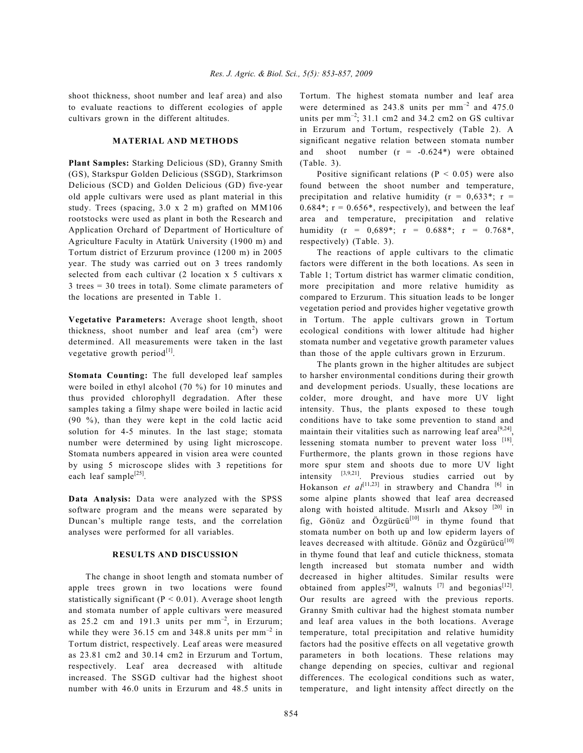shoot thickness, shoot number and leaf area) and also to evaluate reactions to different ecologies of apple cultivars grown in the different altitudes.

### **MATERIAL AND METHODS**

**Plant Samples:** Starking Delicious (SD), Granny Smith (GS), Starkspur Golden Delicious (SSGD), Starkrimson Delicious (SCD) and Golden Delicious (GD) five-year old apple cultivars were used as plant material in this study. Trees (spacing, 3.0 x 2 m) grafted on MM106 rootstocks were used as plant in both the Research and Application Orchard of Department of Horticulture of Agriculture Faculty in Atatürk University (1900 m) and Tortum district of Erzurum province (1200 m) in 2005 year. The study was carried out on 3 trees randomly selected from each cultivar (2 location x 5 cultivars x 3 trees = 30 trees in total). Some climate parameters of the locations are presented in Table 1.

**Vegetative Parameters:** Average shoot length, shoot thickness, shoot number and leaf area  $\text{(cm}^2)$  were determined. All measurements were taken in the last vegetative growth period $^{[1]}$ .

**Stomata Counting:** The full developed leaf samples were boiled in ethyl alcohol (70 %) for 10 minutes and thus provided chlorophyll degradation. After these samples taking a filmy shape were boiled in lactic acid (90 %), than they were kept in the cold lactic acid solution for 4-5 minutes. In the last stage; stomata number were determined by using light microscope. Stomata numbers appeared in vision area were counted by using 5 microscope slides with 3 repetitions for each leaf sample<sup>[25]</sup>.

**Data Analysis:** Data were analyzed with the SPSS software program and the means were separated by Duncan's multiple range tests, and the correlation analyses were performed for all variables.

#### **RESULTS AND DISCUSSION**

The change in shoot length and stomata number of apple trees grown in two locations were found statistically significant ( $P < 0.01$ ). Average shoot length and stomata number of apple cultivars were measured as  $25.2$  cm and  $191.3$  units per mm<sup>-2</sup>, in Erzurum; while they were  $36.15$  cm and  $348.8$  units per mm<sup>-2</sup> in Tortum district, respectively. Leaf areas were measured as 23.81 cm2 and 30.14 cm2 in Erzurum and Tortum, respectively. Leaf area decreased with altitude increased. The SSGD cultivar had the highest shoot number with 46.0 units in Erzurum and 48.5 units in

Tortum. The highest stomata number and leaf area were determined as  $243.8$  units per mm<sup>-2</sup> and  $475.0$ units per  $mm^{-2}$ ; 31.1 cm2 and 34.2 cm2 on GS cultivar in Erzurum and Tortum, respectively (Table 2). A significant negative relation between stomata number and shoot number  $(r = -0.624*)$  were obtained (Table. 3).

Positive significant relations ( $P < 0.05$ ) were also found between the shoot number and temperature, precipitation and relative humidity ( $r = 0.633$ \*;  $r =$  $0.684^*$ ;  $r = 0.656^*$ , respectively), and between the leaf area and temperature, precipitation and relative humidity (r =  $0.689^*$ ; r =  $0.688^*$ ; r =  $0.768^*$ , respectively) (Table. 3).

The reactions of apple cultivars to the climatic factors were different in the both locations. As seen in Table 1; Tortum district has warmer climatic condition, more precipitation and more relative humidity as compared to Erzurum. This situation leads to be longer vegetation period and provides higher vegetative growth in Tortum. The apple cultivars grown in Tortum ecological conditions with lower altitude had higher stomata number and vegetative growth parameter values than those of the apple cultivars grown in Erzurum.

The plants grown in the higher altitudes are subject to harsher environmental conditions during their growth and development periods. Usually, these locations are colder, more drought, and have more UV light intensity. Thus, the plants exposed to these tough conditions have to take some prevention to stand and maintain their vitalities such as narrowing leaf area<sup>[9,24]</sup>, lessening stomata number to prevent water loss [18]. Furthermore, the plants grown in those regions have more spur stem and shoots due to more UV light intensity  $[3,9,21]$ . Previous studies carried out by Hokanson *et al*<sup>[11,23]</sup> in strawbery and Chandra<sup>[6]</sup> in some alpine plants showed that leaf area decreased along with hoisted altitude. Misirli and Aksoy  $[20]$  in fig, Gönüz and Özgürücü<sup>[10]</sup> in thyme found that stomata number on both up and low epiderm layers of leaves decreased with altitude. Gönüz and Özgürücü<sup>[10]</sup> in thyme found that leaf and cuticle thickness, stomata length increased but stomata number and width decreased in higher altitudes. Similar results were obtained from apples<sup>[29]</sup>, walnuts  $^{[7]}$  and begonias<sup>[12]</sup>. Our results are agreed with the previous reports. Granny Smith cultivar had the highest stomata number and leaf area values in the both locations. Average temperature, total precipitation and relative humidity factors had the positive effects on all vegetative growth parameters in both locations. These relations may change depending on species, cultivar and regional differences. The ecological conditions such as water, temperature, and light intensity affect directly on the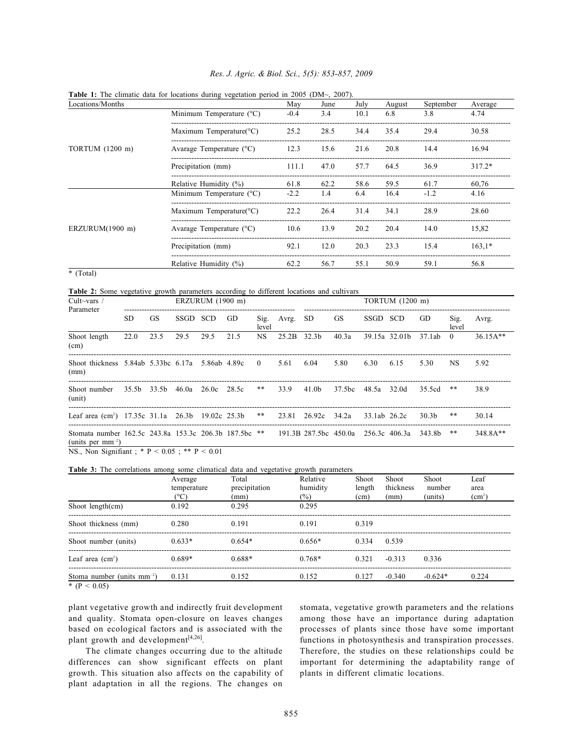| Locations/Months |                                      | May    | June | July | August | September | Average  |
|------------------|--------------------------------------|--------|------|------|--------|-----------|----------|
|                  | Minimum Temperature $(^{\circ}C)$    | $-0.4$ | 3.4  | 10.1 | 6.8    | 3.8       | 4.74     |
|                  | Maximum Temperature( ${}^{\circ}$ C) | 25.2   | 28.5 | 34.4 | 35.4   | 29.4      | 30.58    |
| TORTUM (1200 m)  | Avarage Temperature $(^{\circ}C)$    | 12.3   | 15.6 | 21.6 | 20.8   | 14.4      | 16.94    |
|                  | Precipitation (mm)                   | 111.1  | 47.0 | 57.7 | 64.5   | 36.9      | $317.2*$ |
|                  | Relative Humidity $(\%)$             | 61.8   | 62.2 | 58.6 | 59.5   | 61.7      | 60,76    |
| ERZURUM(1900 m)  | Minimum Temperature (°C)             | $-2.2$ | 1.4  | 6.4  | 16.4   | $-1.2$    | 4.16     |
|                  | Maximum Temperature( ${}^{\circ}$ C) | 22.2   | 26.4 | 31.4 | 34.1   | 28.9      | 28.60    |
|                  | Avarage Temperature $(^{\circ}C)$    | 10.6   | 13.9 | 20.2 | 20.4   | 14.0      | 15,82    |
|                  | Precipitation (mm)                   | 92.1   | 12.0 | 20.3 | 23.3   | 15.4      | $163.1*$ |
|                  | Relative Humidity $(\%)$             | 62.2   | 56.7 | 55.1 | 50.9   | 59.1      | 56.8     |

## *Res. J. Agric. & Biol. Sci., 5(5): 853-857, 2009*

**Table 1:** The climatic data for locations during vegetation period in 2005 (DM~, 2007).

\* (Total)

**Table 2:** Some vegetative growth parameters according to different locations and cultivars

| Cult $\sim$ vars /<br>Parameter                                                                                            | ERZURUM (1900 m) |           |          |                               |      |                         | TORTUM (1200 m) |                    |           |              |               |        |               |            |
|----------------------------------------------------------------------------------------------------------------------------|------------------|-----------|----------|-------------------------------|------|-------------------------|-----------------|--------------------|-----------|--------------|---------------|--------|---------------|------------|
|                                                                                                                            | SD.              | <b>GS</b> | SSGD SCD |                               | GD.  | Sig.<br>level           | Avrg.           | SD.                | <b>GS</b> | SSGD SCD     |               | GD.    | Sig.<br>level | Avrg.      |
| Shoot length<br>(cm)                                                                                                       | 22.0             | 23.5      | 29.5     | 29.5                          | 21.5 | <b>NS</b>               | 25.2B 32.3b     |                    | 40.3a     |              | 39.15a 32.01b | 37.1ab | $\Omega$      | $36.15A**$ |
| Shoot thickness 5.84ab 5.33bc 6.17a 5.86ab 4.89c<br>(mm)                                                                   |                  |           |          |                               |      | $\overline{\mathbf{0}}$ | 5.61            | 6.04               | 5.80      | 6.30         | 6.15          | 5.30   | NS.           | 5.92       |
| Shoot number<br>(unit)                                                                                                     |                  |           |          | 35.5b 33.5b 46.0a 26.0c 28.5c |      | **                      | 33.9            | 41.0b              | 37.5bc    | 48.5a 32.0d  |               | 35.5cd | **            | 38.9       |
| Leaf area (cm <sup>2</sup> ) 17.35c 31.1a 26.3b 19.02c 25.3b                                                               |                  |           |          |                               |      | **                      |                 | 23.81 26.92c 34.2a |           | 33.1ab 26.2c |               | 30.3b  | **            | 30.14      |
| Stomata number 162.5c 243.8a 153.3c 206.3b 187.5bc ** 191.3B 287.5bc 450.0a 256.3c 406.3a 343.8b<br>(units per $mm^{-2}$ ) |                  |           |          |                               |      |                         |                 |                    |           |              |               |        | **            | 348.8A**   |

NS., Non Signifiant ; \* P < 0.05 ; \*\* P < 0.01

Table 3: The correlations among some climatical data and vegetative growth parameters

|                                 | Average<br>temperature<br>$(^{\circ}C)$ | Total<br>precipitation<br>(mm) | Relative<br>humidity<br>$(\%)$ | Shoot<br>length<br>(cm) | Shoot<br>thickness<br>(mm) | Shoot<br>number<br>(units) | Leaf<br>area<br>(cm <sup>2</sup> ) |
|---------------------------------|-----------------------------------------|--------------------------------|--------------------------------|-------------------------|----------------------------|----------------------------|------------------------------------|
| Shoot length $(cm)$             | 0.192                                   | 0.295                          | 0.295                          |                         |                            |                            |                                    |
| Shoot thickness (mm)            | 0.280                                   | 0.191                          | 0.191                          | 0.319                   |                            |                            |                                    |
| Shoot number (units)            | $0.633*$                                | $0.654*$                       | $0.656*$                       | 0.334                   | 0.539                      |                            |                                    |
| Leaf area $(cm2)$               | $0.689*$                                | $0.688*$                       | $0.768*$                       | 0.321                   | $-0.313$                   | 0.336                      |                                    |
| Stoma number (units $mm^{-2}$ ) | 0.131                                   | 0.152                          | 0.152                          | 0.127                   | $-0.340$                   | $-0.624*$                  | 0.224                              |

 $*(P < 0.05)$ 

plant vegetative growth and indirectly fruit development and quality. Stomata open-closure on leaves changes based on ecological factors and is associated with the plant growth and development<sup>[4,26]</sup>.

The climate changes occurring due to the altitude differences can show significant effects on plant growth. This situation also affects on the capability of plant adaptation in all the regions. The changes on

stomata, vegetative growth parameters and the relations among those have an importance during adaptation processes of plants since those have some important functions in photosynthesis and transpiration processes. Therefore, the studies on these relationships could be important for determining the adaptability range of plants in different climatic locations.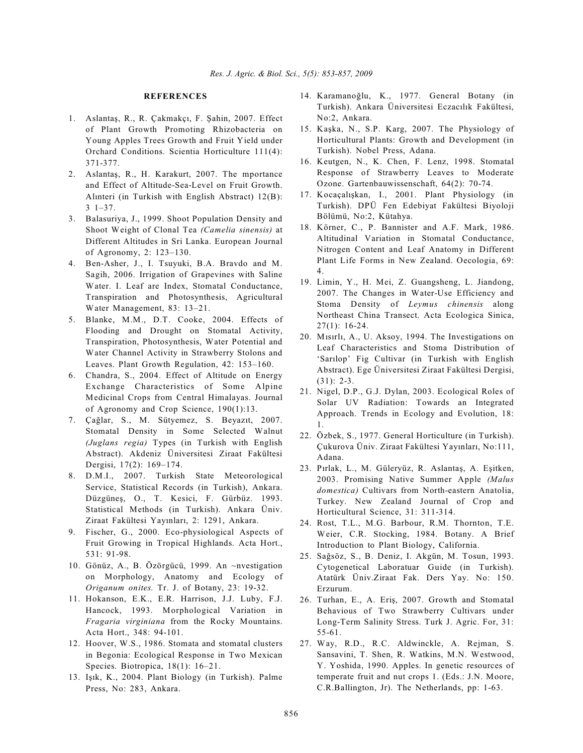#### **REFERENCES**

- 1. Aslantaş, R., R. Çakmakçı, F. Şahin, 2007. Effect of Plant Growth Promoting Rhizobacteria on Young Apples Trees Growth and Fruit Yield under Orchard Conditions. Scientia Horticulture 111(4): 371-377.
- 2. Aslantaş, R., H. Karakurt, 2007. The mportance and Effect of Altitude-Sea-Level on Fruit Growth. Alınteri (in Turkish with English Abstract)  $12(B)$ : 3 1–37.
- 3. Balasuriya, J., 1999. Shoot Population Density and Shoot Weight of Clonal Tea *(Camelia sinensis)* at Different Altitudes in Sri Lanka. European Journal of Agronomy, 2: 123–130.
- 4. Ben-Asher, J., I. Tsuyuki, B.A. Bravdo and M. Sagih, 2006. Irrigation of Grapevines with Saline Water. I. Leaf are Index, Stomatal Conductance, Transpiration and Photosynthesis, Agricultural Water Management, 83: 13–21.
- 5. Blanke, M.M., D.T. Cooke, 2004. Effects of Flooding and Drought on Stomatal Activity, Transpiration, Photosynthesis, Water Potential and Water Channel Activity in Strawberry Stolons and Leaves. Plant Growth Regulation, 42: 153–160.
- 6. Chandra, S., 2004. Effect of Altitude on Energy Exchange Characteristics of Some Alpine Medicinal Crops from Central Himalayas. Journal of Agronomy and Crop Science, 190(1):13.
- 7. Çağlar, S., M. Sütyemez, S. Beyazıt, 2007. Stomatal Density in Some Selected Walnut *(Juglans regia)* Types (in Turkish with English Abstract). Akdeniz Üniversitesi Ziraat Fakültesi Dergisi, 17(2): 169–174.
- 8. D.M.I., 2007. Turkish State Meteorological Service, Statistical Records (in Turkish), Ankara. Düzgüneş, O., T. Kesici, F. Gürbüz. 1993. Statistical Methods (in Turkish). Ankara Üniv. Ziraat Fakültesi Yayınları, 2: 1291, Ankara.
- 9. Fischer, G., 2000. Eco-physiological Aspects of Fruit Growing in Tropical Highlands. Acta Hort., 531: 91-98.
- 10. Gönüz, A., B. Özörgücü, 1999. An ~nvestigation on Morphology, Anatomy and Ecology of *Origanum onites.* Tr. J. of Botany, 23: 19-32.
- 11. Hokanson, E.K., E.R. Harrison, J.J. Luby, F.J. Hancock, 1993. Morphological Variation in *Fragaria virginiana* from the Rocky Mountains. Acta Hort., 348: 94-101.
- 12. Hoover, W.S., 1986. Stomata and stomatal clusters in Begonia: Ecological Response in Two Mexican Species. Biotropica, 18(1): 16–21.
- 13. Işık, K., 2004. Plant Biology (in Turkish). Palme Press, No: 283, Ankara.
- 14. Karamanoğlu, K., 1977. General Botany (in Turkish). Ankara Üniversitesi Eczacılık Fakültesi, No:2, Ankara.
- 15. Kaşka, N., S.P. Karg, 2007. The Physiology of Horticultural Plants: Growth and Development (in Turkish). Nobel Press, Adana.
- 16. Keutgen, N., K. Chen, F. Lenz, 1998. Stomatal Response of Strawberry Leaves to Moderate Ozone. Gartenbauwissenschaft, 64(2): 70-74.
- 17. Kocaçalışkan, I., 2001. Plant Physiology (in Turkish). DPÜ Fen Edebiyat Fakültesi Biyoloji Bölümü, No:2, Kütahya.
- 18. Körner, C., P. Bannister and A.F. Mark, 1986. Altitudinal Variation in Stomatal Conductance, Nitrogen Content and Leaf Anatomy in Different Plant Life Forms in New Zealand. Oecologia, 69: 4.
- 19. Limin, Y., H. Mei, Z. Guangsheng, L. Jiandong, 2007. The Changes in Water-Use Efficiency and Stoma Density of *Leymus chinensis* along Northeast China Transect. Acta Ecologica Sinica, 27(1): 16-24.
- 20. Misirli, A., U. Aksoy, 1994. The Investigations on Leaf Characteristics and Stoma Distribution of 'Sarılop' Fig Cultivar (in Turkish with English Abstract). Ege Üniversitesi Ziraat Fakültesi Dergisi, (31): 2-3.
- 21. Nigel, D.P., G.J. Dylan, 2003. Ecological Roles of Solar UV Radiation: Towards an Integrated Approach. Trends in Ecology and Evolution, 18: 1.
- 22. Özbek, S., 1977. General Horticulture (in Turkish). Çukurova Üniv. Ziraat Fakültesi Yayınları, No:111, Adana.
- 23. Pırlak, L., M. Güleryüz, R. Aslantaş, A. Eşitken, 2003. Promising Native Summer Apple *(Malus domestica)* Cultivars from North-eastern Anatolia, Turkey. New Zealand Journal of Crop and Horticultural Science, 31: 311-314.
- 24. Rost, T.L., M.G. Barbour, R.M. Thornton, T.E. Weier, C.R. Stocking, 1984. Botany. A Brief Introduction to Plant Biology, California.
- 25. Saðsöz, S., B. Deniz, I. Akgün, M. Tosun, 1993. Cytogenetical Laboratuar Guide (in Turkish). Atatürk Üniv.Ziraat Fak. Ders Yay. No: 150. Erzurum.
- 26. Turhan, E., A. Eriş, 2007. Growth and Stomatal Behavious of Two Strawberry Cultivars under Long-Term Salinity Stress. Turk J. Agric. For, 31: 55-61.
- 27. Way, R.D., R.C. Aldwinckle, A. Rejman, S. Sansavini, T. Shen, R. Watkins, M.N. Westwood, Y. Yoshida, 1990. Apples. In genetic resources of temperate fruit and nut crops 1. (Eds.: J.N. Moore, C.R.Ballington, Jr). The Netherlands, pp: 1-63.